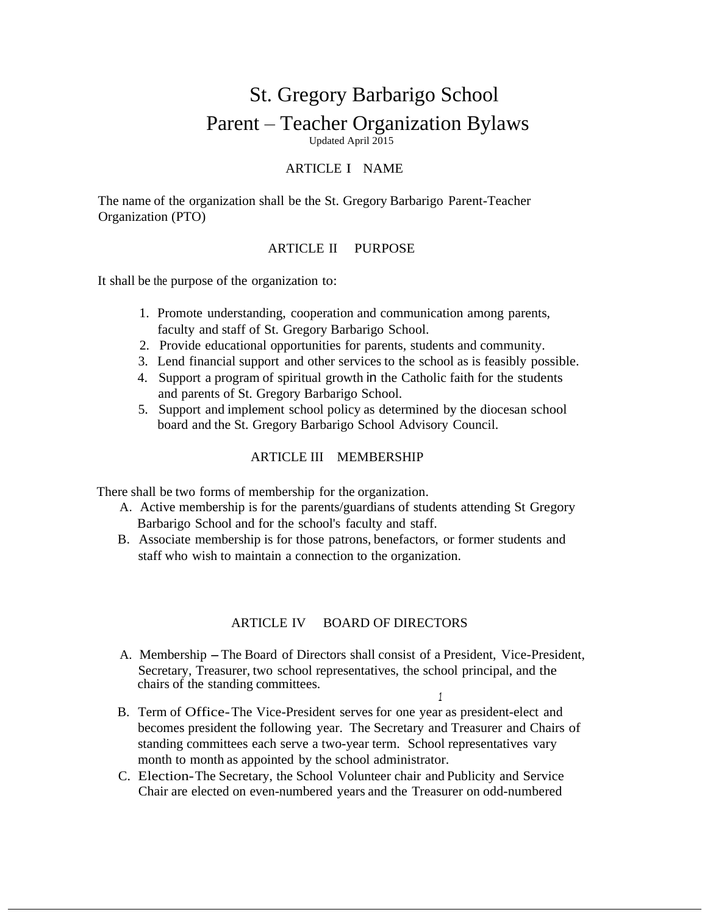# St. Gregory Barbarigo School Parent – Teacher Organization Bylaws Updated April 2015

### ARTICLE I NAME

The name of the organization shall be the St. Gregory Barbarigo Parent-Teacher Organization (PTO)

#### ARTICLE II PURPOSE

It shall be the purpose of the organization to:

- 1. Promote understanding, cooperation and communication among parents, faculty and staff of St. Gregory Barbarigo School.
- 2. Provide educational opportunities for parents, students and community.
- 3. Lend financial support and other services to the school as is feasibly possible.
- 4. Support a program of spiritual growth in the Catholic faith for the students and parents of St. Gregory Barbarigo School.
- 5. Support and implement school policy as determined by the diocesan school board and the St. Gregory Barbarigo School Advisory Council.

#### ARTICLE III MEMBERSHIP

There shall be two forms of membership for the organization.

- A. Active membership is for the parents/guardians of students attending St Gregory Barbarigo School and for the school's faculty and staff.
- B. Associate membership is for those patrons, benefactors, or former students and staff who wish to maintain a connection to the organization.

#### ARTICLE IV BOARD OF DIRECTORS

A. Membership -The Board of Directors shall consist of <sup>a</sup> President, Vice-President, Secretary, Treasurer, two school representatives, the school principal, and the chairs of the standing committees.

*1*

- B. Term of Office-The Vice-President serves for one year as president-elect and becomes president the following year. The Secretary and Treasurer and Chairs of standing committees each serve a two-year term. School representatives vary month to month as appointed by the school administrator.
- C. Election-The Secretary, the School Volunteer chair and Publicity and Service Chair are elected on even-numbered years and the Treasurer on odd-numbered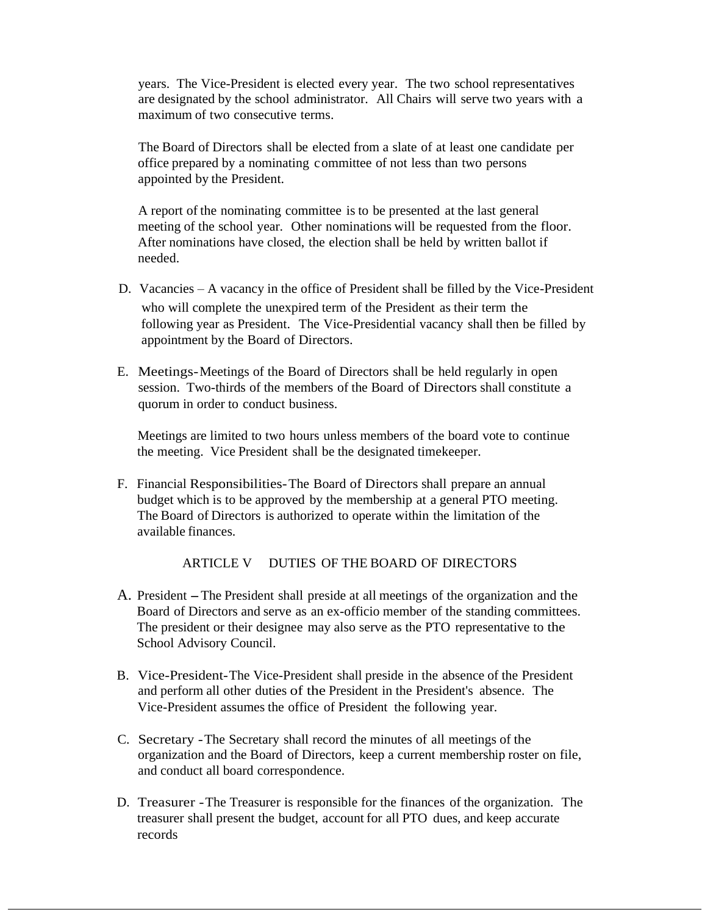years. The Vice-President is elected every year. The two school representatives are designated by the school administrator. All Chairs will serve two years with a maximum of two consecutive terms.

The Board of Directors shall be elected from a slate of at least one candidate per office prepared by a nominating committee of not less than two persons appointed by the President.

A report of the nominating committee is to be presented at the last general meeting of the school year. Other nominations will be requested from the floor. After nominations have closed, the election shall be held by written ballot if needed.

- D. Vacancies A vacancy in the office of President shall be filled by the Vice-President who will complete the unexpired term of the President as their term the following year as President. The Vice-Presidential vacancy shall then be filled by appointment by the Board of Directors.
- E. Meetings-Meetings of the Board of Directors shall be held regularly in open session. Two-thirds of the members of the Board of Directors shall constitute a quorum in order to conduct business.

Meetings are limited to two hours unless members of the board vote to continue the meeting. Vice President shall be the designated timekeeper.

F. Financial Responsibilities-The Board of Directors shall prepare an annual budget which is to be approved by the membership at a general PTO meeting. The Board of Directors is authorized to operate within the limitation of the available finances.

### ARTICLE V DUTIES OF THE BOARD OF DIRECTORS

- A. President-The President shall preside at all meetings of the organization and the Board of Directors and serve as an ex-officio member of the standing committees. The president or their designee may also serve as the PTO representative to the School Advisory Council.
- B. Vice-President-The Vice-President shall preside in the absence of the President and perform all other duties of the President in the President's absence. The Vice-President assumes the office of President the following year.
- C. Secretary -The Secretary shall record the minutes of all meetings of the organization and the Board of Directors, keep a current membership roster on file, and conduct all board correspondence.
- D. Treasurer -The Treasurer is responsible for the finances of the organization. The treasurer shall present the budget, account for all PTO dues, and keep accurate records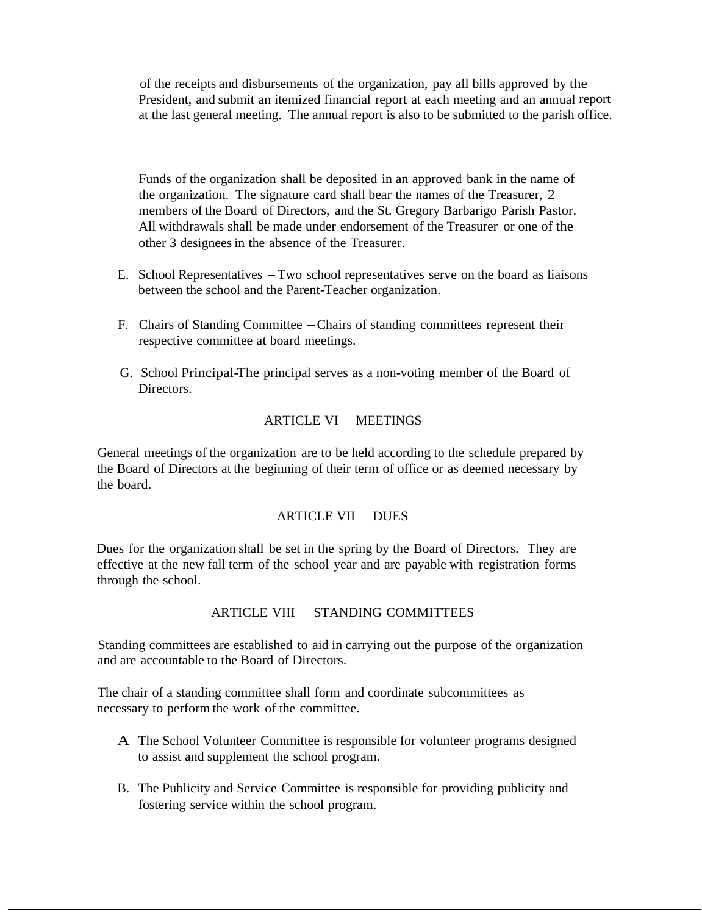of the receipts and disbursements of the organization, pay all bills approved by the President, and submit an itemized financial report at each meeting and an annual report at the last general meeting. The annual report is also to be submitted to the parish office.

Funds of the organization shall be deposited in an approved bank in the name of the organization. The signature card shall bear the names of the Treasurer, 2 members of the Board of Directors, and the St. Gregory Barbarigo Parish Pastor. All withdrawals shall be made under endorsement of the Treasurer or one of the other 3 designeesin the absence of the Treasurer.

- E. School Representatives -Two school representatives serve on the board as liaisons between the school and the Parent-Teacher organization.
- F. Chairs of Standing Committee -Chairs of standing committees represent their respective committee at board meetings.
- G. School Principal-The principal serves as a non-voting member of the Board of Directors.

## ARTICLE VI MEETINGS

General meetings of the organization are to be held according to the schedule prepared by the Board of Directors at the beginning of their term of office or as deemed necessary by the board.

#### ARTICLE VII DUES

Dues for the organization shall be set in the spring by the Board of Directors. They are effective at the new fall term of the school year and are payable with registration forms through the school.

#### ARTICLE VIII STANDING COMMITTEES

Standing committees are established to aid in carrying out the purpose of the organization and are accountable to the Board of Directors.

The chair of a standing committee shall form and coordinate subcommittees as necessary to perform the work of the committee.

- A The School Volunteer Committee is responsible for volunteer programs designed to assist and supplement the school program.
- B. The Publicity and Service Committee is responsible for providing publicity and fostering service within the school program.